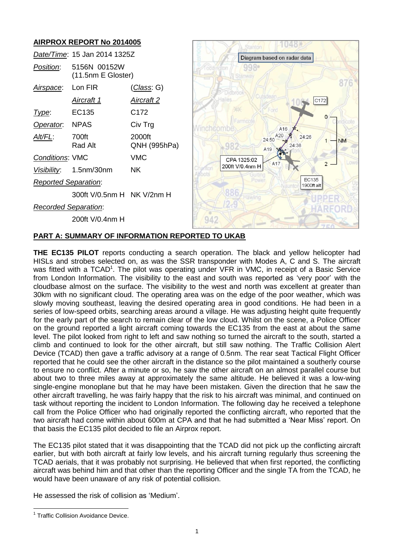# **AIRPROX REPORT No 2014005**

|                             | Date/Time: 15 Jan 2014 1325Z       |                        |
|-----------------------------|------------------------------------|------------------------|
| Position:                   | 5156N 00152W<br>(11.5nm E Gloster) |                        |
| <u>Airspace</u> :           | Lon FIR                            | ( <i>Class</i> : G)    |
|                             | <u>Aircraft 1</u>                  | <u>Aircraft 2</u>      |
| Type:                       | EC135                              | C172                   |
| Operator: NPAS              |                                    | Civ Trg                |
| Alt/FL:                     | 700ft<br>Rad Alt                   | 2000ft<br>QNH (995hPa) |
| <b>Conditions: VMC</b>      |                                    | VMC                    |
|                             | Visibility: 1.5nm/30nm             | ΝK                     |
| <b>Reported Separation:</b> |                                    |                        |
|                             | 300ft V/0.5nm H NK V/2nm H         |                        |
| <b>Recorded Separation:</b> |                                    |                        |
|                             | 200ft V/0.4nm H                    |                        |



## **PART A: SUMMARY OF INFORMATION REPORTED TO UKAB**

**THE EC135 PILOT** reports conducting a search operation. The black and yellow helicopter had HISLs and strobes selected on, as was the SSR transponder with Modes A, C and S. The aircraft was fitted with a TCAD<sup>1</sup>. The pilot was operating under VFR in VMC, in receipt of a Basic Service from London Information. The visibility to the east and south was reported as 'very poor' with the cloudbase almost on the surface. The visibility to the west and north was excellent at greater than 30km with no significant cloud. The operating area was on the edge of the poor weather, which was slowly moving southeast, leaving the desired operating area in good conditions. He had been in a series of low-speed orbits, searching areas around a village. He was adjusting height quite frequently for the early part of the search to remain clear of the low cloud. Whilst on the scene, a Police Officer on the ground reported a light aircraft coming towards the EC135 from the east at about the same level. The pilot looked from right to left and saw nothing so turned the aircraft to the south, started a climb and continued to look for the other aircraft, but still saw nothing. The Traffic Collision Alert Device (TCAD) then gave a traffic advisory at a range of 0.5nm. The rear seat Tactical Flight Officer reported that he could see the other aircraft in the distance so the pilot maintained a southerly course to ensure no conflict. After a minute or so, he saw the other aircraft on an almost parallel course but about two to three miles away at approximately the same altitude. He believed it was a low-wing single-engine monoplane but that he may have been mistaken. Given the direction that he saw the other aircraft travelling, he was fairly happy that the risk to his aircraft was minimal, and continued on task without reporting the incident to London Information. The following day he received a telephone call from the Police Officer who had originally reported the conflicting aircraft, who reported that the two aircraft had come within about 600m at CPA and that he had submitted a 'Near Miss' report. On that basis the EC135 pilot decided to file an Airprox report.

The EC135 pilot stated that it was disappointing that the TCAD did not pick up the conflicting aircraft earlier, but with both aircraft at fairly low levels, and his aircraft turning regularly thus screening the TCAD aerials, that it was probably not surprising. He believed that when first reported, the conflicting aircraft was behind him and that other than the reporting Officer and the single TA from the TCAD, he would have been unaware of any risk of potential collision.

He assessed the risk of collision as 'Medium'.

 $\overline{a}$ <sup>1</sup> Traffic Collision Avoidance Device.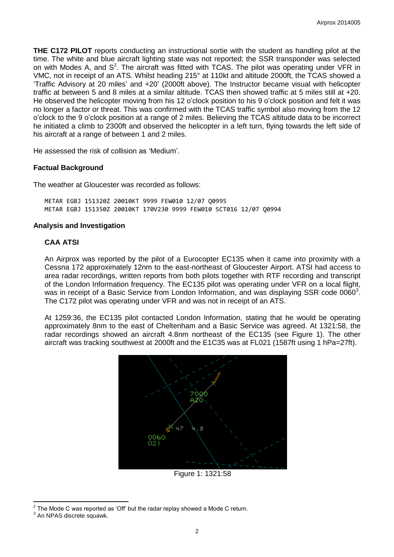**THE C172 PILOT** reports conducting an instructional sortie with the student as handling pilot at the time. The white and blue aircraft lighting state was not reported; the SSR transponder was selected on with Modes A, and  $S^2$ . The aircraft was fitted with TCAS. The pilot was operating under VFR in VMC, not in receipt of an ATS. Whilst heading 215° at 110kt and altitude 2000ft, the TCAS showed a 'Traffic Advisory at 20 miles' and +20' (2000ft above). The Instructor became visual with helicopter traffic at between 5 and 8 miles at a similar altitude. TCAS then showed traffic at 5 miles still at +20. He observed the helicopter moving from his 12 o'clock position to his 9 o'clock position and felt it was no longer a factor or threat. This was confirmed with the TCAS traffic symbol also moving from the 12 o'clock to the 9 o'clock position at a range of 2 miles. Believing the TCAS altitude data to be incorrect he initiated a climb to 2300ft and observed the helicopter in a left turn, flying towards the left side of his aircraft at a range of between 1 and 2 miles.

He assessed the risk of collision as 'Medium'.

## **Factual Background**

The weather at Gloucester was recorded as follows:

METAR EGBJ 151320Z 20010KT 9999 FEW010 12/07 Q0995 METAR EGBJ 151350Z 20010KT 170V230 9999 FEW010 SCT016 12/07 Q0994

#### **Analysis and Investigation**

# **CAA ATSI**

An Airprox was reported by the pilot of a Eurocopter EC135 when it came into proximity with a Cessna 172 approximately 12nm to the east-northeast of Gloucester Airport. ATSI had access to area radar recordings, written reports from both pilots together with RTF recording and transcript of the London Information frequency. The EC135 pilot was operating under VFR on a local flight, was in receipt of a Basic Service from London Information, and was displaying SSR code 0060<sup>3</sup>. The C172 pilot was operating under VFR and was not in receipt of an ATS.

At 1259:36, the EC135 pilot contacted London Information, stating that he would be operating approximately 8nm to the east of Cheltenham and a Basic Service was agreed. At 1321:58, the radar recordings showed an aircraft 4.8nm northeast of the EC135 (see Figure 1). The other aircraft was tracking southwest at 2000ft and the E1C35 was at FL021 (1587ft using 1 hPa=27ft).



Figure 1: 1321:58

 $\overline{\phantom{a}}$  $2^2$  The Mode C was reported as 'Off' but the radar replay showed a Mode C return.

<sup>&</sup>lt;sup>3</sup> An NPAS discrete squawk.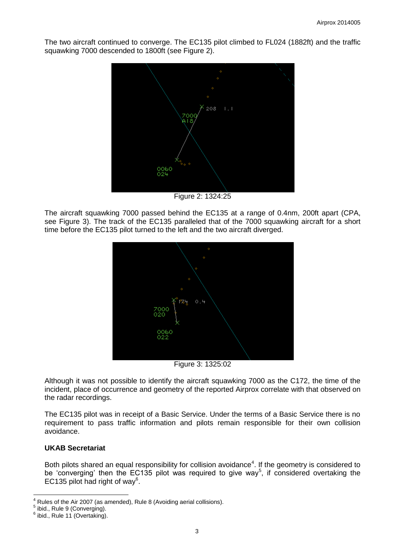The two aircraft continued to converge. The EC135 pilot climbed to FL024 (1882ft) and the traffic squawking 7000 descended to 1800ft (see Figure 2).



Figure 2: 1324:25

The aircraft squawking 7000 passed behind the EC135 at a range of 0.4nm, 200ft apart (CPA, see Figure 3). The track of the EC135 paralleled that of the 7000 squawking aircraft for a short time before the EC135 pilot turned to the left and the two aircraft diverged.



Figure 3: 1325:02

Although it was not possible to identify the aircraft squawking 7000 as the C172, the time of the incident, place of occurrence and geometry of the reported Airprox correlate with that observed on the radar recordings.

The EC135 pilot was in receipt of a Basic Service. Under the terms of a Basic Service there is no requirement to pass traffic information and pilots remain responsible for their own collision avoidance.

# **UKAB Secretariat**

Both pilots shared an equal responsibility for collision avoidance<sup>4</sup>. If the geometry is considered to be 'converging' then the EC135 pilot was required to give way<sup>5</sup>, if considered overtaking the EC135 pilot had right of way $6$ .

 $\overline{a}$ Rules of the Air 2007 (as amended), Rule 8 (Avoiding aerial collisions).

<sup>&</sup>lt;sup>5</sup> ibid., Rule 9 (Converging).

 $6$  ibid., Rule 11 (Overtaking).